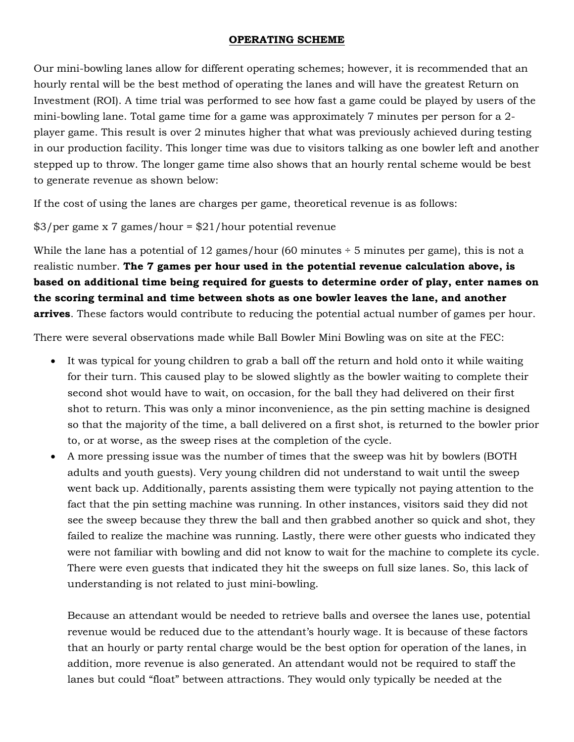## OPERATING SCHEME

Our mini-bowling lanes allow for different operating schemes; however, it is recommended that an hourly rental will be the best method of operating the lanes and will have the greatest Return on Investment (ROI). A time trial was performed to see how fast a game could be played by users of the mini-bowling lane. Total game time for a game was approximately 7 minutes per person for a 2 player game. This result is over 2 minutes higher that what was previously achieved during testing in our production facility. This longer time was due to visitors talking as one bowler left and another stepped up to throw. The longer game time also shows that an hourly rental scheme would be best to generate revenue as shown below:

If the cost of using the lanes are charges per game, theoretical revenue is as follows:

## \$3/per game x 7 games/hour = \$21/hour potential revenue

While the lane has a potential of 12 games/hour (60 minutes  $\div$  5 minutes per game), this is not a realistic number. The 7 games per hour used in the potential revenue calculation above, is based on additional time being required for guests to determine order of play, enter names on the scoring terminal and time between shots as one bowler leaves the lane, and another arrives. These factors would contribute to reducing the potential actual number of games per hour.

There were several observations made while Ball Bowler Mini Bowling was on site at the FEC:

- It was typical for young children to grab a ball off the return and hold onto it while waiting for their turn. This caused play to be slowed slightly as the bowler waiting to complete their second shot would have to wait, on occasion, for the ball they had delivered on their first shot to return. This was only a minor inconvenience, as the pin setting machine is designed so that the majority of the time, a ball delivered on a first shot, is returned to the bowler prior to, or at worse, as the sweep rises at the completion of the cycle.
- A more pressing issue was the number of times that the sweep was hit by bowlers (BOTH adults and youth guests). Very young children did not understand to wait until the sweep went back up. Additionally, parents assisting them were typically not paying attention to the fact that the pin setting machine was running. In other instances, visitors said they did not see the sweep because they threw the ball and then grabbed another so quick and shot, they failed to realize the machine was running. Lastly, there were other guests who indicated they were not familiar with bowling and did not know to wait for the machine to complete its cycle. There were even guests that indicated they hit the sweeps on full size lanes. So, this lack of understanding is not related to just mini-bowling.

Because an attendant would be needed to retrieve balls and oversee the lanes use, potential revenue would be reduced due to the attendant's hourly wage. It is because of these factors that an hourly or party rental charge would be the best option for operation of the lanes, in addition, more revenue is also generated. An attendant would not be required to staff the lanes but could "float" between attractions. They would only typically be needed at the